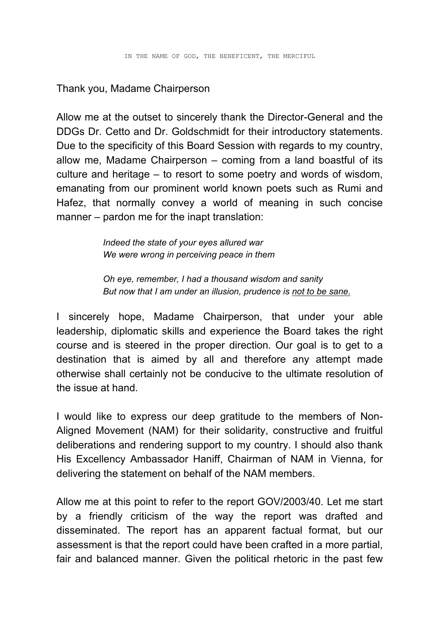## Thank you, Madame Chairperson

Allow me at the outset to sincerely thank the Director-General and the DDGs Dr. Cetto and Dr. Goldschmidt for their introductory statements. Due to the specificity of this Board Session with regards to my country, allow me, Madame Chairperson – coming from a land boastful of its culture and heritage – to resort to some poetry and words of wisdom, emanating from our prominent world known poets such as Rumi and Hafez, that normally convey a world of meaning in such concise manner – pardon me for the inapt translation:

> *Indeed the state of your eyes allured war We were wrong in perceiving peace in them*

*Oh eye, remember, I had a thousand wisdom and sanity But now that I am under an illusion, prudence is not to be sane.*

I sincerely hope, Madame Chairperson, that under your able leadership, diplomatic skills and experience the Board takes the right course and is steered in the proper direction. Our goal is to get to a destination that is aimed by all and therefore any attempt made otherwise shall certainly not be conducive to the ultimate resolution of the issue at hand.

I would like to express our deep gratitude to the members of Non-Aligned Movement (NAM) for their solidarity, constructive and fruitful deliberations and rendering support to my country. I should also thank His Excellency Ambassador Haniff, Chairman of NAM in Vienna, for delivering the statement on behalf of the NAM members.

Allow me at this point to refer to the report GOV/2003/40. Let me start by a friendly criticism of the way the report was drafted and disseminated. The report has an apparent factual format, but our assessment is that the report could have been crafted in a more partial, fair and balanced manner. Given the political rhetoric in the past few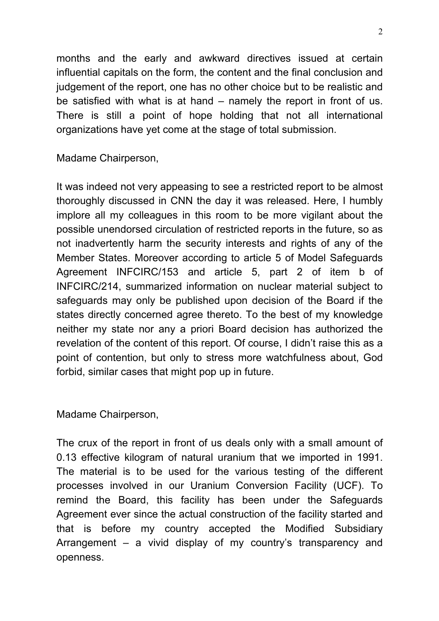months and the early and awkward directives issued at certain influential capitals on the form, the content and the final conclusion and judgement of the report, one has no other choice but to be realistic and be satisfied with what is at hand – namely the report in front of us. There is still a point of hope holding that not all international organizations have yet come at the stage of total submission.

Madame Chairperson,

It was indeed not very appeasing to see a restricted report to be almost thoroughly discussed in CNN the day it was released. Here, I humbly implore all my colleagues in this room to be more vigilant about the possible unendorsed circulation of restricted reports in the future, so as not inadvertently harm the security interests and rights of any of the Member States. Moreover according to article 5 of Model Safeguards Agreement INFCIRC/153 and article 5, part 2 of item b of INFCIRC/214, summarized information on nuclear material subject to safeguards may only be published upon decision of the Board if the states directly concerned agree thereto. To the best of my knowledge neither my state nor any a priori Board decision has authorized the revelation of the content of this report. Of course, I didn't raise this as a point of contention, but only to stress more watchfulness about, God forbid, similar cases that might pop up in future.

Madame Chairperson,

The crux of the report in front of us deals only with a small amount of 0.13 effective kilogram of natural uranium that we imported in 1991. The material is to be used for the various testing of the different processes involved in our Uranium Conversion Facility (UCF). To remind the Board, this facility has been under the Safeguards Agreement ever since the actual construction of the facility started and that is before my country accepted the Modified Subsidiary Arrangement – a vivid display of my country's transparency and openness.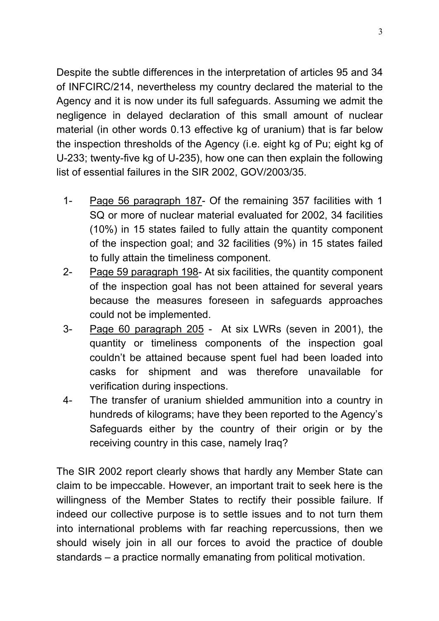Despite the subtle differences in the interpretation of articles 95 and 34 of INFCIRC/214, nevertheless my country declared the material to the Agency and it is now under its full safeguards. Assuming we admit the negligence in delayed declaration of this small amount of nuclear material (in other words 0.13 effective kg of uranium) that is far below the inspection thresholds of the Agency (i.e. eight kg of Pu; eight kg of U-233; twenty-five kg of U-235), how one can then explain the following list of essential failures in the SIR 2002, GOV/2003/35.

- 1- Page 56 paragraph 187- Of the remaining 357 facilities with 1 SQ or more of nuclear material evaluated for 2002, 34 facilities (10%) in 15 states failed to fully attain the quantity component of the inspection goal; and 32 facilities (9%) in 15 states failed to fully attain the timeliness component.
- 2- Page 59 paragraph 198- At six facilities, the quantity component of the inspection goal has not been attained for several years because the measures foreseen in safeguards approaches could not be implemented.
- 3- Page 60 paragraph 205 At six LWRs (seven in 2001), the quantity or timeliness components of the inspection goal couldn't be attained because spent fuel had been loaded into casks for shipment and was therefore unavailable for verification during inspections.
- 4- The transfer of uranium shielded ammunition into a country in hundreds of kilograms; have they been reported to the Agency's Safeguards either by the country of their origin or by the receiving country in this case, namely Iraq?

The SIR 2002 report clearly shows that hardly any Member State can claim to be impeccable. However, an important trait to seek here is the willingness of the Member States to rectify their possible failure. If indeed our collective purpose is to settle issues and to not turn them into international problems with far reaching repercussions, then we should wisely join in all our forces to avoid the practice of double standards – a practice normally emanating from political motivation.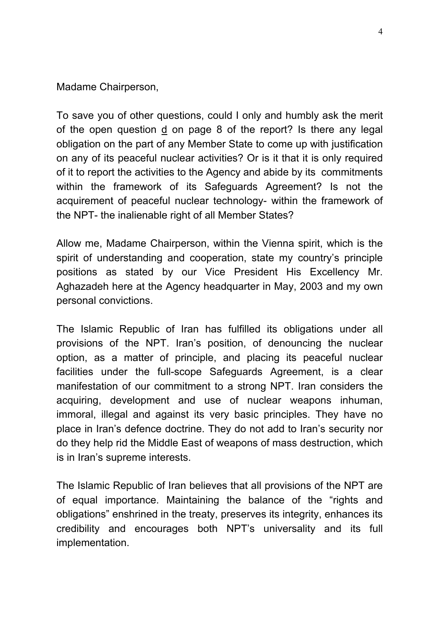Madame Chairperson,

To save you of other questions, could I only and humbly ask the merit of the open question  $\frac{d}{dx}$  on page 8 of the report? Is there any legal obligation on the part of any Member State to come up with justification on any of its peaceful nuclear activities? Or is it that it is only required of it to report the activities to the Agency and abide by its commitments within the framework of its Safeguards Agreement? Is not the acquirement of peaceful nuclear technology- within the framework of the NPT- the inalienable right of all Member States?

Allow me, Madame Chairperson, within the Vienna spirit, which is the spirit of understanding and cooperation, state my country's principle positions as stated by our Vice President His Excellency Mr. Aghazadeh here at the Agency headquarter in May, 2003 and my own personal convictions.

The Islamic Republic of Iran has fulfilled its obligations under all provisions of the NPT. Iran's position, of denouncing the nuclear option, as a matter of principle, and placing its peaceful nuclear facilities under the full-scope Safeguards Agreement, is a clear manifestation of our commitment to a strong NPT. Iran considers the acquiring, development and use of nuclear weapons inhuman, immoral, illegal and against its very basic principles. They have no place in Iran's defence doctrine. They do not add to Iran's security nor do they help rid the Middle East of weapons of mass destruction, which is in Iran's supreme interests.

The Islamic Republic of Iran believes that all provisions of the NPT are of equal importance. Maintaining the balance of the "rights and obligations" enshrined in the treaty, preserves its integrity, enhances its credibility and encourages both NPT's universality and its full implementation.